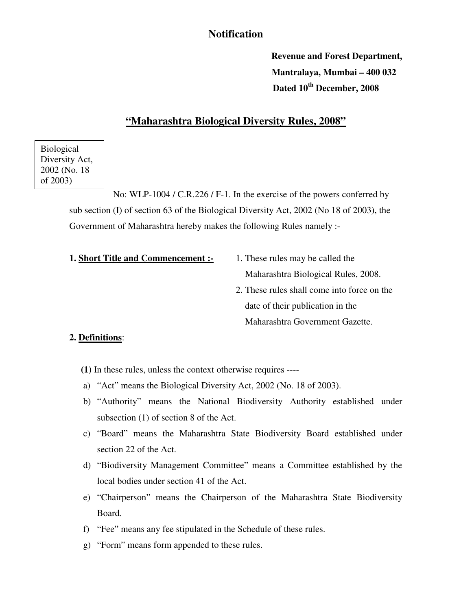# **Notification**

**Revenue and Forest Department, Mantralaya, Mumbai – 400 032 Dated 10th December, 2008** 

## **"Maharashtra Biological Diversity Rules, 2008"**

Biological Diversity Act, 2002 (No. 18 of 2003)

> No: WLP-1004 / C.R.226 / F-1. In the exercise of the powers conferred by sub section (I) of section 63 of the Biological Diversity Act, 2002 (No 18 of 2003), the Government of Maharashtra hereby makes the following Rules namely :-

#### **1. Short Title and Commencement :-** 1. These rules may be called the

- Maharashtra Biological Rules, 2008.
- 2. These rules shall come into force on the date of their publication in the Maharashtra Government Gazette.

### **2. Definitions**:

- **(1)** In these rules, unless the context otherwise requires ----
- a) "Act" means the Biological Diversity Act, 2002 (No. 18 of 2003).
- b) "Authority" means the National Biodiversity Authority established under subsection (1) of section 8 of the Act.
- c) "Board" means the Maharashtra State Biodiversity Board established under section 22 of the Act.
- d) "Biodiversity Management Committee" means a Committee established by the local bodies under section 41 of the Act.
- e) "Chairperson" means the Chairperson of the Maharashtra State Biodiversity Board.
- f) "Fee" means any fee stipulated in the Schedule of these rules.
- g) "Form" means form appended to these rules.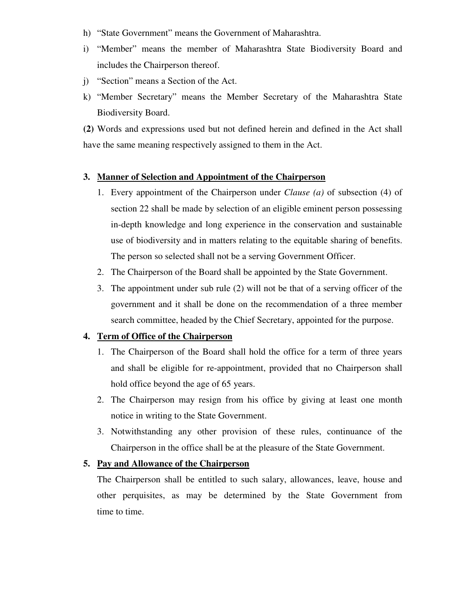- h) "State Government" means the Government of Maharashtra.
- i) "Member" means the member of Maharashtra State Biodiversity Board and includes the Chairperson thereof.
- j) "Section" means a Section of the Act.
- k) "Member Secretary" means the Member Secretary of the Maharashtra State Biodiversity Board.

**(2)** Words and expressions used but not defined herein and defined in the Act shall have the same meaning respectively assigned to them in the Act.

#### **3. Manner of Selection and Appointment of the Chairperson**

- 1. Every appointment of the Chairperson under *Clause (a)* of subsection (4) of section 22 shall be made by selection of an eligible eminent person possessing in-depth knowledge and long experience in the conservation and sustainable use of biodiversity and in matters relating to the equitable sharing of benefits. The person so selected shall not be a serving Government Officer.
- 2. The Chairperson of the Board shall be appointed by the State Government.
- 3. The appointment under sub rule (2) will not be that of a serving officer of the government and it shall be done on the recommendation of a three member search committee, headed by the Chief Secretary, appointed for the purpose.

### **4. Term of Office of the Chairperson**

- 1. The Chairperson of the Board shall hold the office for a term of three years and shall be eligible for re-appointment, provided that no Chairperson shall hold office beyond the age of 65 years.
- 2. The Chairperson may resign from his office by giving at least one month notice in writing to the State Government.
- 3. Notwithstanding any other provision of these rules, continuance of the Chairperson in the office shall be at the pleasure of the State Government.

# **5. Pay and Allowance of the Chairperson**

The Chairperson shall be entitled to such salary, allowances, leave, house and other perquisites, as may be determined by the State Government from time to time.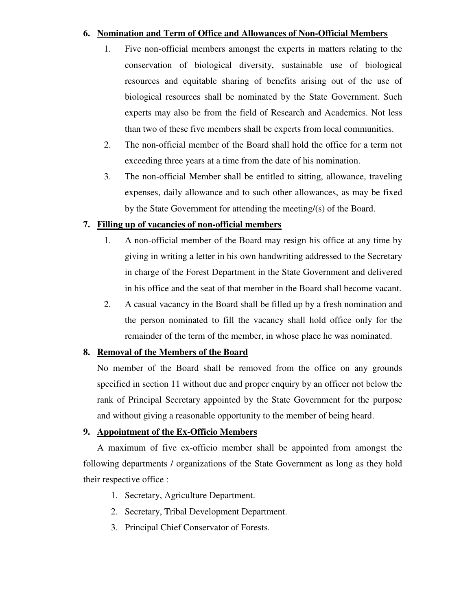### **6. Nomination and Term of Office and Allowances of Non-Official Members**

- 1. Five non-official members amongst the experts in matters relating to the conservation of biological diversity, sustainable use of biological resources and equitable sharing of benefits arising out of the use of biological resources shall be nominated by the State Government. Such experts may also be from the field of Research and Academics. Not less than two of these five members shall be experts from local communities.
- 2. The non-official member of the Board shall hold the office for a term not exceeding three years at a time from the date of his nomination.
- 3. The non-official Member shall be entitled to sitting, allowance, traveling expenses, daily allowance and to such other allowances, as may be fixed by the State Government for attending the meeting/(s) of the Board.

## **7. Filling up of vacancies of non-official members**

- 1. A non-official member of the Board may resign his office at any time by giving in writing a letter in his own handwriting addressed to the Secretary in charge of the Forest Department in the State Government and delivered in his office and the seat of that member in the Board shall become vacant.
- 2. A casual vacancy in the Board shall be filled up by a fresh nomination and the person nominated to fill the vacancy shall hold office only for the remainder of the term of the member, in whose place he was nominated.

## **8. Removal of the Members of the Board**

No member of the Board shall be removed from the office on any grounds specified in section 11 without due and proper enquiry by an officer not below the rank of Principal Secretary appointed by the State Government for the purpose and without giving a reasonable opportunity to the member of being heard.

## **9. Appointment of the Ex-Officio Members**

 A maximum of five ex-officio member shall be appointed from amongst the following departments / organizations of the State Government as long as they hold their respective office :

- 1. Secretary, Agriculture Department.
- 2. Secretary, Tribal Development Department.
- 3. Principal Chief Conservator of Forests.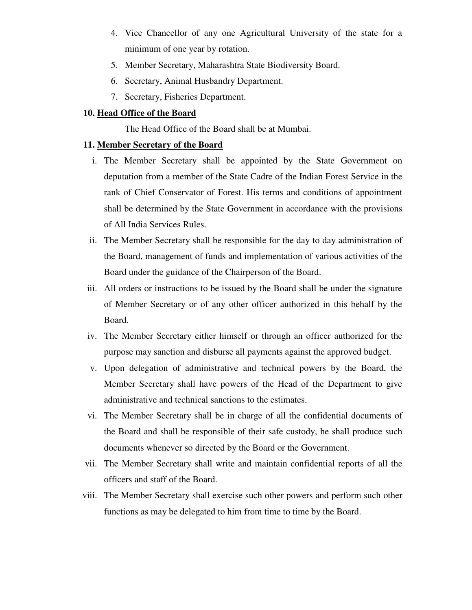- 4. Vice Chancellor of any one Agricultural University of the state for a minimum of one year by rotation.
- 5. Member Secretary, Maharashtra State Biodiversity Board.
- 6. Secretary, Animal Husbandry Department.
- 7. Secretary, Fisheries Department.

### **10. Head Office of the Board**

The Head Office of the Board shall be at Mumbai.

### **11. Member Secretary of the Board**

- i. The Member Secretary shall be appointed by the State Government on deputation from a member of the State Cadre of the Indian Forest Service in the rank of Chief Conservator of Forest. His terms and conditions of appointment shall be determined by the State Government in accordance with the provisions of All India Services Rules.
- ii. The Member Secretary shall be responsible for the day to day administration of the Board, management of funds and implementation of various activities of the Board under the guidance of the Chairperson of the Board.
- iii. All orders or instructions to be issued by the Board shall be under the signature of Member Secretary or of any other officer authorized in this behalf by the Board.
- iv. The Member Secretary either himself or through an officer authorized for the purpose may sanction and disburse all payments against the approved budget.
- v. Upon delegation of administrative and technical powers by the Board, the Member Secretary shall have powers of the Head of the Department to give administrative and technical sanctions to the estimates.
- vi. The Member Secretary shall be in charge of all the confidential documents of the Board and shall be responsible of their safe custody, he shall produce such documents whenever so directed by the Board or the Government.
- vii. The Member Secretary shall write and maintain confidential reports of all the officers and staff of the Board.
- viii. The Member Secretary shall exercise such other powers and perform such other functions as may be delegated to him from time to time by the Board.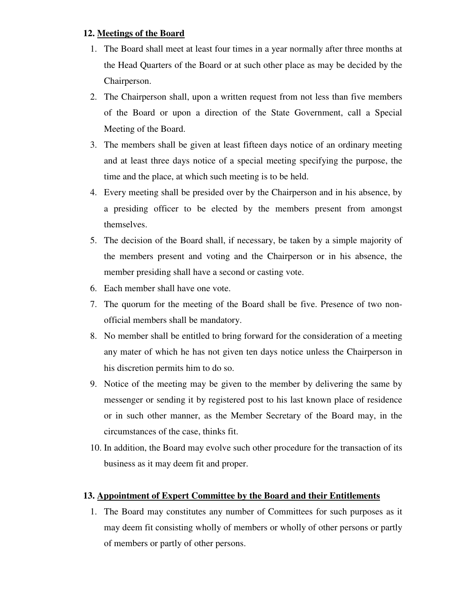## **12. Meetings of the Board**

- 1. The Board shall meet at least four times in a year normally after three months at the Head Quarters of the Board or at such other place as may be decided by the Chairperson.
- 2. The Chairperson shall, upon a written request from not less than five members of the Board or upon a direction of the State Government, call a Special Meeting of the Board.
- 3. The members shall be given at least fifteen days notice of an ordinary meeting and at least three days notice of a special meeting specifying the purpose, the time and the place, at which such meeting is to be held.
- 4. Every meeting shall be presided over by the Chairperson and in his absence, by a presiding officer to be elected by the members present from amongst themselves.
- 5. The decision of the Board shall, if necessary, be taken by a simple majority of the members present and voting and the Chairperson or in his absence, the member presiding shall have a second or casting vote.
- 6. Each member shall have one vote.
- 7. The quorum for the meeting of the Board shall be five. Presence of two nonofficial members shall be mandatory.
- 8. No member shall be entitled to bring forward for the consideration of a meeting any mater of which he has not given ten days notice unless the Chairperson in his discretion permits him to do so.
- 9. Notice of the meeting may be given to the member by delivering the same by messenger or sending it by registered post to his last known place of residence or in such other manner, as the Member Secretary of the Board may, in the circumstances of the case, thinks fit.
- 10. In addition, the Board may evolve such other procedure for the transaction of its business as it may deem fit and proper.

## **13. Appointment of Expert Committee by the Board and their Entitlements**

1. The Board may constitutes any number of Committees for such purposes as it may deem fit consisting wholly of members or wholly of other persons or partly of members or partly of other persons.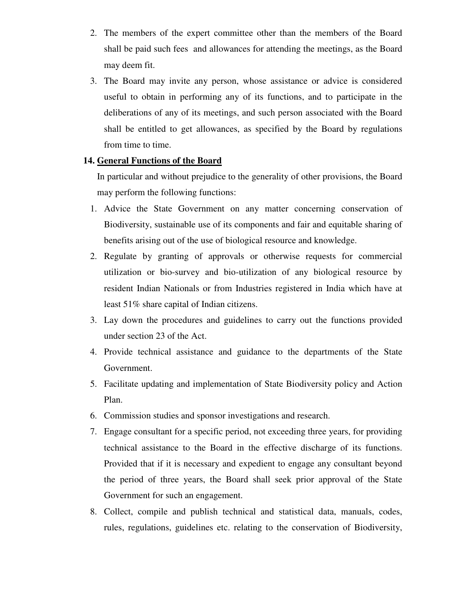- 2. The members of the expert committee other than the members of the Board shall be paid such fees and allowances for attending the meetings, as the Board may deem fit.
- 3. The Board may invite any person, whose assistance or advice is considered useful to obtain in performing any of its functions, and to participate in the deliberations of any of its meetings, and such person associated with the Board shall be entitled to get allowances, as specified by the Board by regulations from time to time.

## **14. General Functions of the Board**

In particular and without prejudice to the generality of other provisions, the Board may perform the following functions:

- 1. Advice the State Government on any matter concerning conservation of Biodiversity, sustainable use of its components and fair and equitable sharing of benefits arising out of the use of biological resource and knowledge.
- 2. Regulate by granting of approvals or otherwise requests for commercial utilization or bio-survey and bio-utilization of any biological resource by resident Indian Nationals or from Industries registered in India which have at least 51% share capital of Indian citizens.
- 3. Lay down the procedures and guidelines to carry out the functions provided under section 23 of the Act.
- 4. Provide technical assistance and guidance to the departments of the State Government.
- 5. Facilitate updating and implementation of State Biodiversity policy and Action Plan.
- 6. Commission studies and sponsor investigations and research.
- 7. Engage consultant for a specific period, not exceeding three years, for providing technical assistance to the Board in the effective discharge of its functions. Provided that if it is necessary and expedient to engage any consultant beyond the period of three years, the Board shall seek prior approval of the State Government for such an engagement.
- 8. Collect, compile and publish technical and statistical data, manuals, codes, rules, regulations, guidelines etc. relating to the conservation of Biodiversity,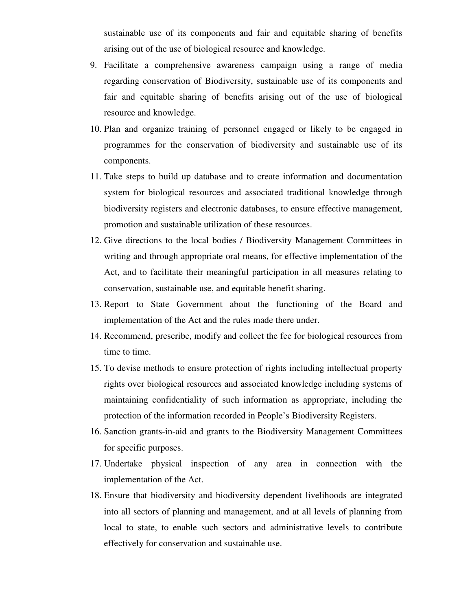sustainable use of its components and fair and equitable sharing of benefits arising out of the use of biological resource and knowledge.

- 9. Facilitate a comprehensive awareness campaign using a range of media regarding conservation of Biodiversity, sustainable use of its components and fair and equitable sharing of benefits arising out of the use of biological resource and knowledge.
- 10. Plan and organize training of personnel engaged or likely to be engaged in programmes for the conservation of biodiversity and sustainable use of its components.
- 11. Take steps to build up database and to create information and documentation system for biological resources and associated traditional knowledge through biodiversity registers and electronic databases, to ensure effective management, promotion and sustainable utilization of these resources.
- 12. Give directions to the local bodies / Biodiversity Management Committees in writing and through appropriate oral means, for effective implementation of the Act, and to facilitate their meaningful participation in all measures relating to conservation, sustainable use, and equitable benefit sharing.
- 13. Report to State Government about the functioning of the Board and implementation of the Act and the rules made there under.
- 14. Recommend, prescribe, modify and collect the fee for biological resources from time to time.
- 15. To devise methods to ensure protection of rights including intellectual property rights over biological resources and associated knowledge including systems of maintaining confidentiality of such information as appropriate, including the protection of the information recorded in People's Biodiversity Registers.
- 16. Sanction grants-in-aid and grants to the Biodiversity Management Committees for specific purposes.
- 17. Undertake physical inspection of any area in connection with the implementation of the Act.
- 18. Ensure that biodiversity and biodiversity dependent livelihoods are integrated into all sectors of planning and management, and at all levels of planning from local to state, to enable such sectors and administrative levels to contribute effectively for conservation and sustainable use.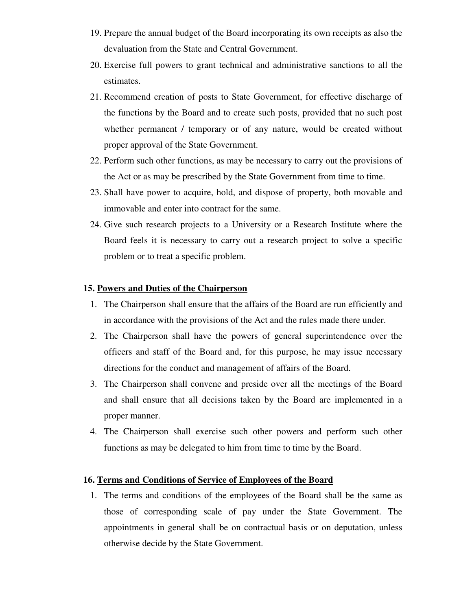- 19. Prepare the annual budget of the Board incorporating its own receipts as also the devaluation from the State and Central Government.
- 20. Exercise full powers to grant technical and administrative sanctions to all the estimates.
- 21. Recommend creation of posts to State Government, for effective discharge of the functions by the Board and to create such posts, provided that no such post whether permanent / temporary or of any nature, would be created without proper approval of the State Government.
- 22. Perform such other functions, as may be necessary to carry out the provisions of the Act or as may be prescribed by the State Government from time to time.
- 23. Shall have power to acquire, hold, and dispose of property, both movable and immovable and enter into contract for the same.
- 24. Give such research projects to a University or a Research Institute where the Board feels it is necessary to carry out a research project to solve a specific problem or to treat a specific problem.

### **15. Powers and Duties of the Chairperson**

- 1. The Chairperson shall ensure that the affairs of the Board are run efficiently and in accordance with the provisions of the Act and the rules made there under.
- 2. The Chairperson shall have the powers of general superintendence over the officers and staff of the Board and, for this purpose, he may issue necessary directions for the conduct and management of affairs of the Board.
- 3. The Chairperson shall convene and preside over all the meetings of the Board and shall ensure that all decisions taken by the Board are implemented in a proper manner.
- 4. The Chairperson shall exercise such other powers and perform such other functions as may be delegated to him from time to time by the Board.

### **16. Terms and Conditions of Service of Employees of the Board**

1. The terms and conditions of the employees of the Board shall be the same as those of corresponding scale of pay under the State Government. The appointments in general shall be on contractual basis or on deputation, unless otherwise decide by the State Government.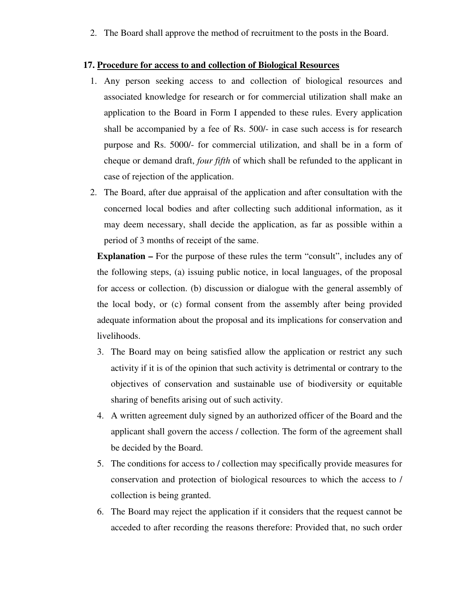2. The Board shall approve the method of recruitment to the posts in the Board.

#### **17. Procedure for access to and collection of Biological Resources**

- 1. Any person seeking access to and collection of biological resources and associated knowledge for research or for commercial utilization shall make an application to the Board in Form I appended to these rules. Every application shall be accompanied by a fee of Rs. 500/- in case such access is for research purpose and Rs. 5000/- for commercial utilization, and shall be in a form of cheque or demand draft, *four fifth* of which shall be refunded to the applicant in case of rejection of the application.
- 2. The Board, after due appraisal of the application and after consultation with the concerned local bodies and after collecting such additional information, as it may deem necessary, shall decide the application, as far as possible within a period of 3 months of receipt of the same.

**Explanation –** For the purpose of these rules the term "consult", includes any of the following steps, (a) issuing public notice, in local languages, of the proposal for access or collection. (b) discussion or dialogue with the general assembly of the local body, or (c) formal consent from the assembly after being provided adequate information about the proposal and its implications for conservation and livelihoods.

- 3. The Board may on being satisfied allow the application or restrict any such activity if it is of the opinion that such activity is detrimental or contrary to the objectives of conservation and sustainable use of biodiversity or equitable sharing of benefits arising out of such activity.
- 4. A written agreement duly signed by an authorized officer of the Board and the applicant shall govern the access / collection. The form of the agreement shall be decided by the Board.
- 5. The conditions for access to / collection may specifically provide measures for conservation and protection of biological resources to which the access to / collection is being granted.
- 6. The Board may reject the application if it considers that the request cannot be acceded to after recording the reasons therefore: Provided that, no such order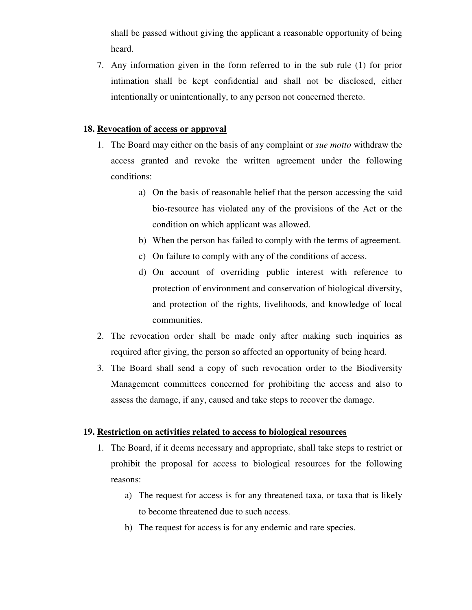shall be passed without giving the applicant a reasonable opportunity of being heard.

7. Any information given in the form referred to in the sub rule (1) for prior intimation shall be kept confidential and shall not be disclosed, either intentionally or unintentionally, to any person not concerned thereto.

## **18. Revocation of access or approval**

- 1. The Board may either on the basis of any complaint or *sue motto* withdraw the access granted and revoke the written agreement under the following conditions:
	- a) On the basis of reasonable belief that the person accessing the said bio-resource has violated any of the provisions of the Act or the condition on which applicant was allowed.
	- b) When the person has failed to comply with the terms of agreement.
	- c) On failure to comply with any of the conditions of access.
	- d) On account of overriding public interest with reference to protection of environment and conservation of biological diversity, and protection of the rights, livelihoods, and knowledge of local communities.
- 2. The revocation order shall be made only after making such inquiries as required after giving, the person so affected an opportunity of being heard.
- 3. The Board shall send a copy of such revocation order to the Biodiversity Management committees concerned for prohibiting the access and also to assess the damage, if any, caused and take steps to recover the damage.

## **19. Restriction on activities related to access to biological resources**

- 1. The Board, if it deems necessary and appropriate, shall take steps to restrict or prohibit the proposal for access to biological resources for the following reasons:
	- a) The request for access is for any threatened taxa, or taxa that is likely to become threatened due to such access.
	- b) The request for access is for any endemic and rare species.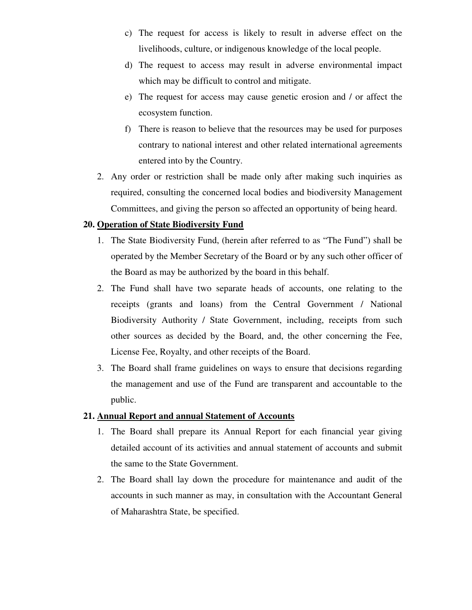- c) The request for access is likely to result in adverse effect on the livelihoods, culture, or indigenous knowledge of the local people.
- d) The request to access may result in adverse environmental impact which may be difficult to control and mitigate.
- e) The request for access may cause genetic erosion and / or affect the ecosystem function.
- f) There is reason to believe that the resources may be used for purposes contrary to national interest and other related international agreements entered into by the Country.
- 2. Any order or restriction shall be made only after making such inquiries as required, consulting the concerned local bodies and biodiversity Management Committees, and giving the person so affected an opportunity of being heard.

## **20. Operation of State Biodiversity Fund**

- 1. The State Biodiversity Fund, (herein after referred to as "The Fund") shall be operated by the Member Secretary of the Board or by any such other officer of the Board as may be authorized by the board in this behalf.
- 2. The Fund shall have two separate heads of accounts, one relating to the receipts (grants and loans) from the Central Government / National Biodiversity Authority / State Government, including, receipts from such other sources as decided by the Board, and, the other concerning the Fee, License Fee, Royalty, and other receipts of the Board.
- 3. The Board shall frame guidelines on ways to ensure that decisions regarding the management and use of the Fund are transparent and accountable to the public.

### **21. Annual Report and annual Statement of Accounts**

- 1. The Board shall prepare its Annual Report for each financial year giving detailed account of its activities and annual statement of accounts and submit the same to the State Government.
- 2. The Board shall lay down the procedure for maintenance and audit of the accounts in such manner as may, in consultation with the Accountant General of Maharashtra State, be specified.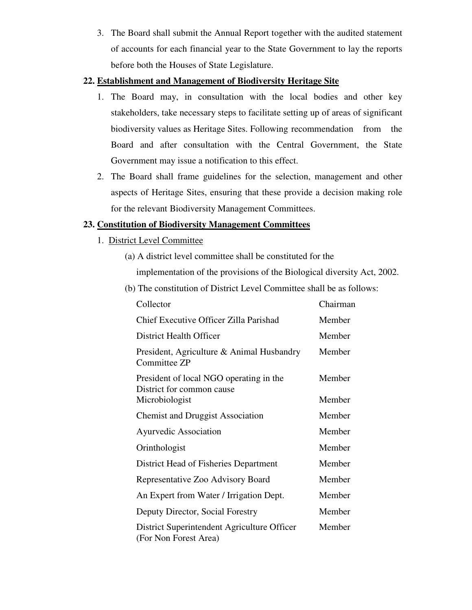3. The Board shall submit the Annual Report together with the audited statement of accounts for each financial year to the State Government to lay the reports before both the Houses of State Legislature.

## **22. Establishment and Management of Biodiversity Heritage Site**

- 1. The Board may, in consultation with the local bodies and other key stakeholders, take necessary steps to facilitate setting up of areas of significant biodiversity values as Heritage Sites. Following recommendation from the Board and after consultation with the Central Government, the State Government may issue a notification to this effect.
- 2. The Board shall frame guidelines for the selection, management and other aspects of Heritage Sites, ensuring that these provide a decision making role for the relevant Biodiversity Management Committees.

# **23. Constitution of Biodiversity Management Committees**

- 1. District Level Committee
	- (a) A district level committee shall be constituted for the implementation of the provisions of the Biological diversity Act, 2002.
	- (b) The constitution of District Level Committee shall be as follows:

| Collector                                                            | Chairman |
|----------------------------------------------------------------------|----------|
| Chief Executive Officer Zilla Parishad                               | Member   |
| <b>District Health Officer</b>                                       | Member   |
| President, Agriculture & Animal Husbandry<br>Committee ZP            | Member   |
| President of local NGO operating in the<br>District for common cause | Member   |
| Microbiologist                                                       | Member   |
| <b>Chemist and Druggist Association</b>                              | Member   |
| <b>Ayurvedic Association</b>                                         | Member   |
| Orinthologist                                                        | Member   |
| District Head of Fisheries Department                                | Member   |
| Representative Zoo Advisory Board                                    | Member   |
| An Expert from Water / Irrigation Dept.                              | Member   |
| Deputy Director, Social Forestry                                     | Member   |
| District Superintendent Agriculture Officer<br>(For Non Forest Area) | Member   |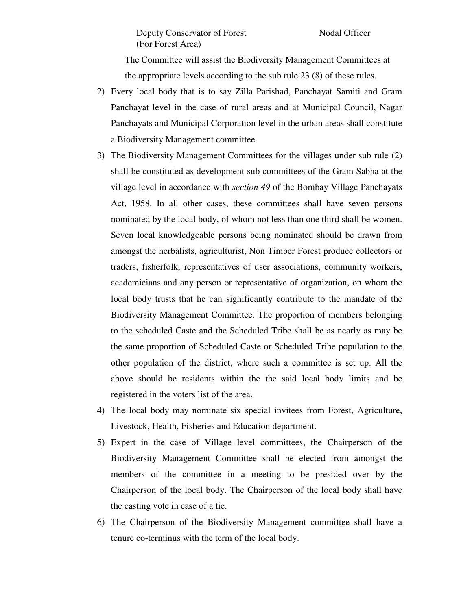The Committee will assist the Biodiversity Management Committees at the appropriate levels according to the sub rule 23 (8) of these rules.

- 2) Every local body that is to say Zilla Parishad, Panchayat Samiti and Gram Panchayat level in the case of rural areas and at Municipal Council, Nagar Panchayats and Municipal Corporation level in the urban areas shall constitute a Biodiversity Management committee.
- 3) The Biodiversity Management Committees for the villages under sub rule (2) shall be constituted as development sub committees of the Gram Sabha at the village level in accordance with *section 49* of the Bombay Village Panchayats Act, 1958. In all other cases, these committees shall have seven persons nominated by the local body, of whom not less than one third shall be women. Seven local knowledgeable persons being nominated should be drawn from amongst the herbalists, agriculturist, Non Timber Forest produce collectors or traders, fisherfolk, representatives of user associations, community workers, academicians and any person or representative of organization, on whom the local body trusts that he can significantly contribute to the mandate of the Biodiversity Management Committee. The proportion of members belonging to the scheduled Caste and the Scheduled Tribe shall be as nearly as may be the same proportion of Scheduled Caste or Scheduled Tribe population to the other population of the district, where such a committee is set up. All the above should be residents within the the said local body limits and be registered in the voters list of the area.
- 4) The local body may nominate six special invitees from Forest, Agriculture, Livestock, Health, Fisheries and Education department.
- 5) Expert in the case of Village level committees, the Chairperson of the Biodiversity Management Committee shall be elected from amongst the members of the committee in a meeting to be presided over by the Chairperson of the local body. The Chairperson of the local body shall have the casting vote in case of a tie.
- 6) The Chairperson of the Biodiversity Management committee shall have a tenure co-terminus with the term of the local body.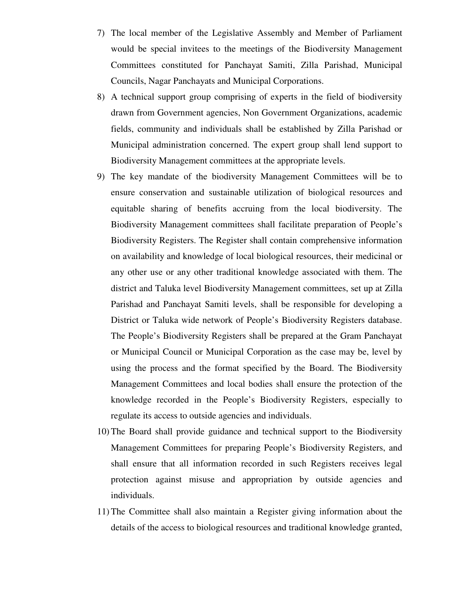- 7) The local member of the Legislative Assembly and Member of Parliament would be special invitees to the meetings of the Biodiversity Management Committees constituted for Panchayat Samiti, Zilla Parishad, Municipal Councils, Nagar Panchayats and Municipal Corporations.
- 8) A technical support group comprising of experts in the field of biodiversity drawn from Government agencies, Non Government Organizations, academic fields, community and individuals shall be established by Zilla Parishad or Municipal administration concerned. The expert group shall lend support to Biodiversity Management committees at the appropriate levels.
- 9) The key mandate of the biodiversity Management Committees will be to ensure conservation and sustainable utilization of biological resources and equitable sharing of benefits accruing from the local biodiversity. The Biodiversity Management committees shall facilitate preparation of People's Biodiversity Registers. The Register shall contain comprehensive information on availability and knowledge of local biological resources, their medicinal or any other use or any other traditional knowledge associated with them. The district and Taluka level Biodiversity Management committees, set up at Zilla Parishad and Panchayat Samiti levels, shall be responsible for developing a District or Taluka wide network of People's Biodiversity Registers database. The People's Biodiversity Registers shall be prepared at the Gram Panchayat or Municipal Council or Municipal Corporation as the case may be, level by using the process and the format specified by the Board. The Biodiversity Management Committees and local bodies shall ensure the protection of the knowledge recorded in the People's Biodiversity Registers, especially to regulate its access to outside agencies and individuals.
- 10) The Board shall provide guidance and technical support to the Biodiversity Management Committees for preparing People's Biodiversity Registers, and shall ensure that all information recorded in such Registers receives legal protection against misuse and appropriation by outside agencies and individuals.
- 11) The Committee shall also maintain a Register giving information about the details of the access to biological resources and traditional knowledge granted,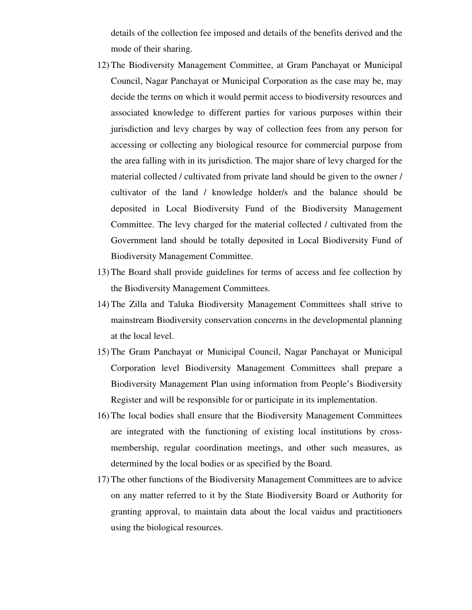details of the collection fee imposed and details of the benefits derived and the mode of their sharing.

- 12) The Biodiversity Management Committee, at Gram Panchayat or Municipal Council, Nagar Panchayat or Municipal Corporation as the case may be, may decide the terms on which it would permit access to biodiversity resources and associated knowledge to different parties for various purposes within their jurisdiction and levy charges by way of collection fees from any person for accessing or collecting any biological resource for commercial purpose from the area falling with in its jurisdiction. The major share of levy charged for the material collected / cultivated from private land should be given to the owner / cultivator of the land / knowledge holder/s and the balance should be deposited in Local Biodiversity Fund of the Biodiversity Management Committee. The levy charged for the material collected / cultivated from the Government land should be totally deposited in Local Biodiversity Fund of Biodiversity Management Committee.
- 13) The Board shall provide guidelines for terms of access and fee collection by the Biodiversity Management Committees.
- 14) The Zilla and Taluka Biodiversity Management Committees shall strive to mainstream Biodiversity conservation concerns in the developmental planning at the local level.
- 15) The Gram Panchayat or Municipal Council, Nagar Panchayat or Municipal Corporation level Biodiversity Management Committees shall prepare a Biodiversity Management Plan using information from People's Biodiversity Register and will be responsible for or participate in its implementation.
- 16) The local bodies shall ensure that the Biodiversity Management Committees are integrated with the functioning of existing local institutions by crossmembership, regular coordination meetings, and other such measures, as determined by the local bodies or as specified by the Board.
- 17) The other functions of the Biodiversity Management Committees are to advice on any matter referred to it by the State Biodiversity Board or Authority for granting approval, to maintain data about the local vaidus and practitioners using the biological resources.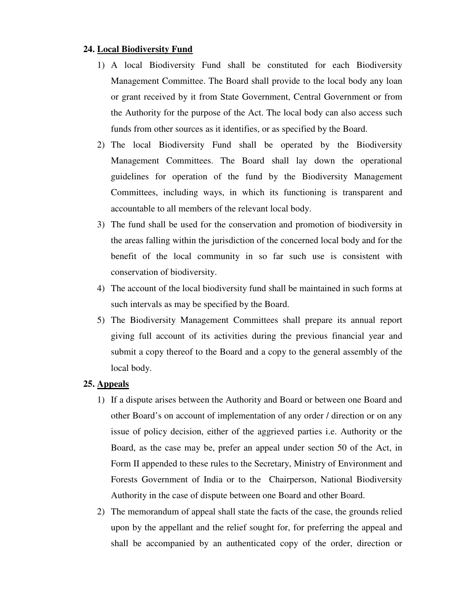### **24. Local Biodiversity Fund**

- 1) A local Biodiversity Fund shall be constituted for each Biodiversity Management Committee. The Board shall provide to the local body any loan or grant received by it from State Government, Central Government or from the Authority for the purpose of the Act. The local body can also access such funds from other sources as it identifies, or as specified by the Board.
- 2) The local Biodiversity Fund shall be operated by the Biodiversity Management Committees. The Board shall lay down the operational guidelines for operation of the fund by the Biodiversity Management Committees, including ways, in which its functioning is transparent and accountable to all members of the relevant local body.
- 3) The fund shall be used for the conservation and promotion of biodiversity in the areas falling within the jurisdiction of the concerned local body and for the benefit of the local community in so far such use is consistent with conservation of biodiversity.
- 4) The account of the local biodiversity fund shall be maintained in such forms at such intervals as may be specified by the Board.
- 5) The Biodiversity Management Committees shall prepare its annual report giving full account of its activities during the previous financial year and submit a copy thereof to the Board and a copy to the general assembly of the local body.

#### **25. Appeals**

- 1) If a dispute arises between the Authority and Board or between one Board and other Board's on account of implementation of any order / direction or on any issue of policy decision, either of the aggrieved parties i.e. Authority or the Board, as the case may be, prefer an appeal under section 50 of the Act, in Form II appended to these rules to the Secretary, Ministry of Environment and Forests Government of India or to the Chairperson, National Biodiversity Authority in the case of dispute between one Board and other Board.
- 2) The memorandum of appeal shall state the facts of the case, the grounds relied upon by the appellant and the relief sought for, for preferring the appeal and shall be accompanied by an authenticated copy of the order, direction or